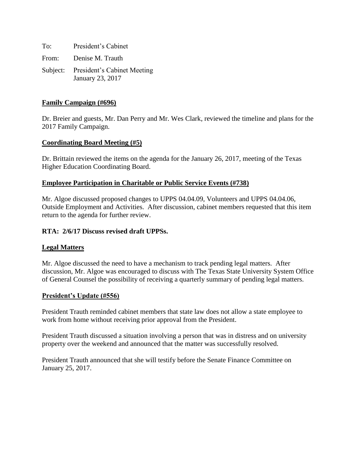To: President's Cabinet From: Denise M. Trauth Subject: President's Cabinet Meeting January 23, 2017

# **Family Campaign (#696)**

Dr. Breier and guests, Mr. Dan Perry and Mr. Wes Clark, reviewed the timeline and plans for the 2017 Family Campaign.

#### **Coordinating Board Meeting (#5)**

Dr. Brittain reviewed the items on the agenda for the January 26, 2017, meeting of the Texas Higher Education Coordinating Board.

#### **Employee Participation in Charitable or Public Service Events (#738)**

Mr. Algoe discussed proposed changes to UPPS 04.04.09, Volunteers and UPPS 04.04.06, Outside Employment and Activities. After discussion, cabinet members requested that this item return to the agenda for further review.

#### **RTA: 2/6/17 Discuss revised draft UPPSs.**

#### **Legal Matters**

Mr. Algoe discussed the need to have a mechanism to track pending legal matters. After discussion, Mr. Algoe was encouraged to discuss with The Texas State University System Office of General Counsel the possibility of receiving a quarterly summary of pending legal matters.

#### **President's Update (#556)**

President Trauth reminded cabinet members that state law does not allow a state employee to work from home without receiving prior approval from the President.

President Trauth discussed a situation involving a person that was in distress and on university property over the weekend and announced that the matter was successfully resolved.

President Trauth announced that she will testify before the Senate Finance Committee on January 25, 2017.